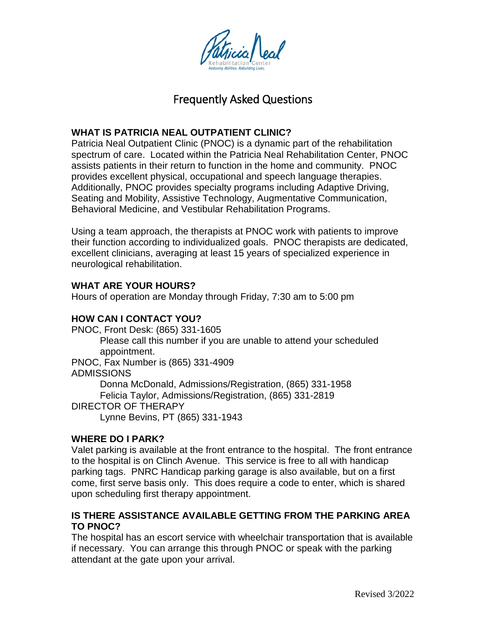

# Frequently Asked Questions

# **WHAT IS PATRICIA NEAL OUTPATIENT CLINIC?**

Patricia Neal Outpatient Clinic (PNOC) is a dynamic part of the rehabilitation spectrum of care. Located within the Patricia Neal Rehabilitation Center, PNOC assists patients in their return to function in the home and community. PNOC provides excellent physical, occupational and speech language therapies. Additionally, PNOC provides specialty programs including Adaptive Driving, Seating and Mobility, Assistive Technology, Augmentative Communication, Behavioral Medicine, and Vestibular Rehabilitation Programs.

Using a team approach, the therapists at PNOC work with patients to improve their function according to individualized goals. PNOC therapists are dedicated, excellent clinicians, averaging at least 15 years of specialized experience in neurological rehabilitation.

# **WHAT ARE YOUR HOURS?**

Hours of operation are Monday through Friday, 7:30 am to 5:00 pm

# **HOW CAN I CONTACT YOU?**

PNOC, Front Desk: (865) 331-1605 Please call this number if you are unable to attend your scheduled appointment. PNOC, Fax Number is (865) 331-4909 ADMISSIONS Donna McDonald, Admissions/Registration, (865) 331-1958 Felicia Taylor, Admissions/Registration, (865) 331-2819 DIRECTOR OF THERAPY Lynne Bevins, PT (865) 331-1943

## **WHERE DO I PARK?**

Valet parking is available at the front entrance to the hospital. The front entrance to the hospital is on Clinch Avenue. This service is free to all with handicap parking tags. PNRC Handicap parking garage is also available, but on a first come, first serve basis only. This does require a code to enter, which is shared upon scheduling first therapy appointment.

## **IS THERE ASSISTANCE AVAILABLE GETTING FROM THE PARKING AREA TO PNOC?**

The hospital has an escort service with wheelchair transportation that is available if necessary. You can arrange this through PNOC or speak with the parking attendant at the gate upon your arrival.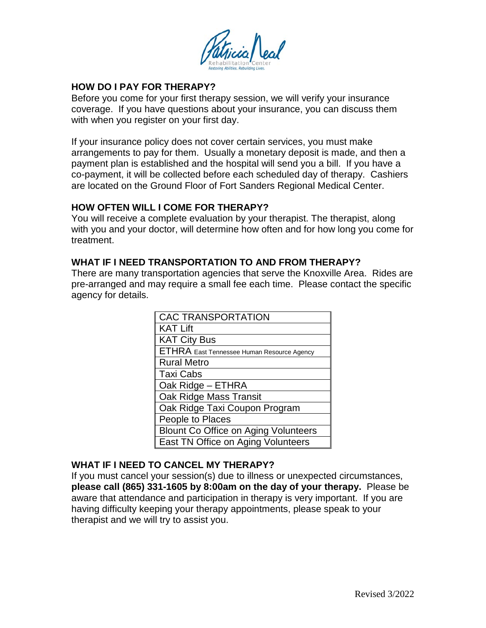

## **HOW DO I PAY FOR THERAPY?**

Before you come for your first therapy session, we will verify your insurance coverage. If you have questions about your insurance, you can discuss them with when you register on your first day.

If your insurance policy does not cover certain services, you must make arrangements to pay for them. Usually a monetary deposit is made, and then a payment plan is established and the hospital will send you a bill. If you have a co-payment, it will be collected before each scheduled day of therapy. Cashiers are located on the Ground Floor of Fort Sanders Regional Medical Center.

#### **HOW OFTEN WILL I COME FOR THERAPY?**

You will receive a complete evaluation by your therapist. The therapist, along with you and your doctor, will determine how often and for how long you come for treatment.

#### **WHAT IF I NEED TRANSPORTATION TO AND FROM THERAPY?**

There are many transportation agencies that serve the Knoxville Area. Rides are pre-arranged and may require a small fee each time. Please contact the specific agency for details.

| <b>CAC TRANSPORTATION</b>                   |
|---------------------------------------------|
| <b>KAT Lift</b>                             |
| <b>KAT City Bus</b>                         |
| ETHRA East Tennessee Human Resource Agency  |
| <b>Rural Metro</b>                          |
| <b>Taxi Cabs</b>                            |
| Oak Ridge - ETHRA                           |
| Oak Ridge Mass Transit                      |
| Oak Ridge Taxi Coupon Program               |
| People to Places                            |
| <b>Blount Co Office on Aging Volunteers</b> |
| East TN Office on Aging Volunteers          |

#### **WHAT IF I NEED TO CANCEL MY THERAPY?**

If you must cancel your session(s) due to illness or unexpected circumstances, **please call (865) 331-1605 by 8:00am on the day of your therapy.** Please be aware that attendance and participation in therapy is very important. If you are having difficulty keeping your therapy appointments, please speak to your therapist and we will try to assist you.